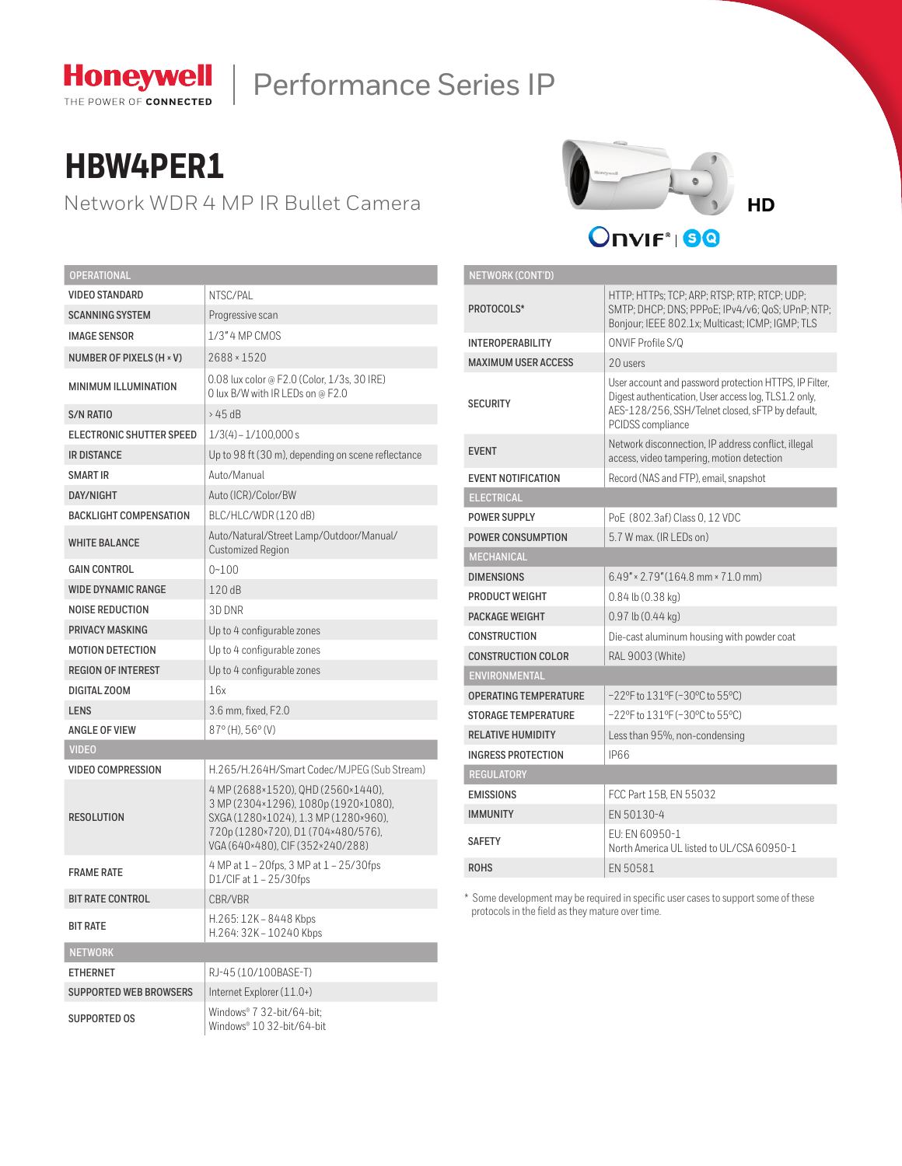

# Honeywell | Performance Series IP

# **HBW4PER1**

Network WDR 4 MP IR Bullet Camera



| <b>OPERATIONAL</b>            |                                                                                                                                                                                              |  |  |  |  |
|-------------------------------|----------------------------------------------------------------------------------------------------------------------------------------------------------------------------------------------|--|--|--|--|
| <b>VIDEO STANDARD</b>         | NTSC/PAL                                                                                                                                                                                     |  |  |  |  |
| <b>SCANNING SYSTEM</b>        | Progressive scan                                                                                                                                                                             |  |  |  |  |
| <b>IMAGE SENSOR</b>           | 1/3" 4 MP CMOS                                                                                                                                                                               |  |  |  |  |
| NUMBER OF PIXELS (H × V)      | 2688 × 1520                                                                                                                                                                                  |  |  |  |  |
| <b>MINIMUM ILLUMINATION</b>   | 0.08 lux color @ F2.0 (Color, 1/3s, 30 IRE)<br>O lux B/W with IR LEDs on @ F2.0                                                                                                              |  |  |  |  |
| S/N RATIO                     | >45dB                                                                                                                                                                                        |  |  |  |  |
| ELECTRONIC SHUTTER SPEED      | $1/3(4) - 1/100,000 s$                                                                                                                                                                       |  |  |  |  |
| <b>IR DISTANCE</b>            | Up to 98 ft (30 m), depending on scene reflectance                                                                                                                                           |  |  |  |  |
| SMART IR                      | Auto/Manual                                                                                                                                                                                  |  |  |  |  |
| DAY/NIGHT                     | Auto (ICR)/Color/BW                                                                                                                                                                          |  |  |  |  |
| <b>BACKLIGHT COMPENSATION</b> | BLC/HLC/WDR(120 dB)                                                                                                                                                                          |  |  |  |  |
| <b>WHITE BALANCE</b>          | Auto/Natural/Street Lamp/Outdoor/Manual/<br><b>Customized Region</b>                                                                                                                         |  |  |  |  |
| <b>GAIN CONTROL</b>           | $0 - 100$                                                                                                                                                                                    |  |  |  |  |
| <b>WIDE DYNAMIC RANGE</b>     | 120dB                                                                                                                                                                                        |  |  |  |  |
| NOISE REDUCTION               | 3D DNR                                                                                                                                                                                       |  |  |  |  |
| <b>PRIVACY MASKING</b>        | Up to 4 configurable zones                                                                                                                                                                   |  |  |  |  |
| <b>MOTION DETECTION</b>       | Up to 4 configurable zones                                                                                                                                                                   |  |  |  |  |
| <b>REGION OF INTEREST</b>     | Up to 4 configurable zones                                                                                                                                                                   |  |  |  |  |
| DIGITAL ZOOM                  | 16x                                                                                                                                                                                          |  |  |  |  |
| <b>LENS</b>                   | 3.6 mm, fixed, F2.0                                                                                                                                                                          |  |  |  |  |
| <b>ANGLE OF VIEW</b>          | $87^{\circ}$ (H), $56^{\circ}$ (V)                                                                                                                                                           |  |  |  |  |
| <b>VIDEO</b>                  |                                                                                                                                                                                              |  |  |  |  |
| <b>VIDEO COMPRESSION</b>      | H.265/H.264H/Smart Codec/MJPEG (Sub Stream)                                                                                                                                                  |  |  |  |  |
| <b>RESOLUTION</b>             | 4 MP (2688×1520), QHD (2560×1440),<br>3 MP (2304×1296), 1080p (1920×1080),<br>SXGA (1280×1024), 1.3 MP (1280×960),<br>720p (1280×720), D1 (704×480/576),<br>VGA (640×480), CIF (352×240/288) |  |  |  |  |
| <b>FRAME RATE</b>             | 4 MP at 1 - 20fps, 3 MP at 1 - 25/30fps<br>$D1/CIF$ at $1 - 25/30$ fps                                                                                                                       |  |  |  |  |
| <b>BIT RATE CONTROL</b>       | CBR/VBR                                                                                                                                                                                      |  |  |  |  |
| <b>BIT RATE</b>               | H.265: 12K - 8448 Kbps<br>H.264: 32K - 10240 Kbps                                                                                                                                            |  |  |  |  |
| <b>NETWORK</b>                |                                                                                                                                                                                              |  |  |  |  |
| <b>ETHERNET</b>               | RJ-45 (10/100BASE-T)                                                                                                                                                                         |  |  |  |  |
| <b>SUPPORTED WEB BROWSERS</b> | Internet Explorer (11.0+)                                                                                                                                                                    |  |  |  |  |
| SUPPORTED OS                  | Windows® 7 32-bit/64-bit;<br>Windows® 10 32-bit/64-bit                                                                                                                                       |  |  |  |  |

| <b>NETWORK (CONT'D)</b>      |                                                                                                                                                                                         |  |  |  |
|------------------------------|-----------------------------------------------------------------------------------------------------------------------------------------------------------------------------------------|--|--|--|
| PROTOCOLS*                   | HTTP; HTTPs; TCP; ARP; RTSP; RTP; RTCP; UDP;<br>SMTP; DHCP; DNS; PPPoE; IPv4/v6; QoS; UPnP; NTP;<br>Bonjour; IEEE 802.1x; Multicast; ICMP; IGMP; TLS                                    |  |  |  |
| <b>INTEROPERABILITY</b>      | ONVIF Profile S/Q                                                                                                                                                                       |  |  |  |
| <b>MAXIMUM USER ACCESS</b>   | 20 users                                                                                                                                                                                |  |  |  |
| <b>SECURITY</b>              | User account and password protection HTTPS, IP Filter,<br>Digest authentication, User access log, TLS1.2 only,<br>AES-128/256, SSH/Telnet closed, sFTP by default,<br>PCIDSS compliance |  |  |  |
| <b>EVENT</b>                 | Network disconnection, IP address conflict, illegal<br>access, video tampering, motion detection                                                                                        |  |  |  |
| <b>EVENT NOTIFICATION</b>    | Record (NAS and FTP), email, snapshot                                                                                                                                                   |  |  |  |
| <b>ELECTRICAL</b>            |                                                                                                                                                                                         |  |  |  |
| <b>POWER SUPPLY</b>          | PoE (802.3af) Class 0, 12 VDC                                                                                                                                                           |  |  |  |
| <b>POWER CONSUMPTION</b>     | 5.7 W max. (IR LEDs on)                                                                                                                                                                 |  |  |  |
| <b>MECHANICAL</b>            |                                                                                                                                                                                         |  |  |  |
| <b>DIMENSIONS</b>            | $6.49'' \times 2.79'' (164.8 \text{ mm} \times 71.0 \text{ mm})$                                                                                                                        |  |  |  |
| PRODUCT WEIGHT               | $0.84$ lb $(0.38$ kg)                                                                                                                                                                   |  |  |  |
| <b>PACKAGE WEIGHT</b>        | $0.97$ lb $(0.44$ kg)                                                                                                                                                                   |  |  |  |
| <b>CONSTRUCTION</b>          | Die-cast aluminum housing with powder coat                                                                                                                                              |  |  |  |
| <b>CONSTRUCTION COLOR</b>    | RAL 9003 (White)                                                                                                                                                                        |  |  |  |
| <b>ENVIRONMENTAL</b>         |                                                                                                                                                                                         |  |  |  |
| <b>OPERATING TEMPERATURE</b> | -22°F to 131°F (-30°C to 55°C)                                                                                                                                                          |  |  |  |
| <b>STORAGE TEMPERATURE</b>   | -22°F to 131°F (-30°C to 55°C)                                                                                                                                                          |  |  |  |
| <b>RELATIVE HUMIDITY</b>     | Less than 95%, non-condensing                                                                                                                                                           |  |  |  |
| <b>INGRESS PROTECTION</b>    | <b>IP66</b>                                                                                                                                                                             |  |  |  |
| <b>REGULATORY</b>            |                                                                                                                                                                                         |  |  |  |
| <b>EMISSIONS</b>             | FCC Part 15B, EN 55032                                                                                                                                                                  |  |  |  |
| <b>IMMUNITY</b>              | EN 50130-4                                                                                                                                                                              |  |  |  |
| <b>SAFETY</b>                | EU: EN 60950-1<br>North America UL listed to UL/CSA 60950-1                                                                                                                             |  |  |  |
| <b>ROHS</b>                  | EN 50581                                                                                                                                                                                |  |  |  |

\* Some development may be required in specific user cases to support some of these protocols in the field as they mature over time.